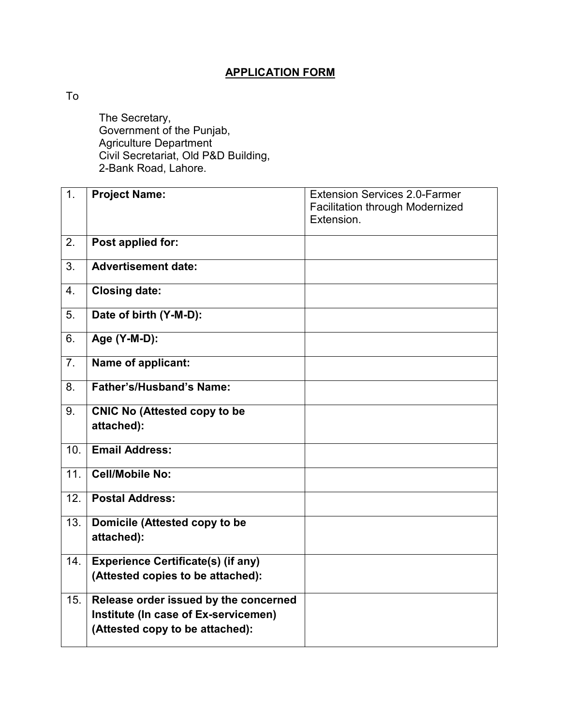## **APPLICATION FORM**

To

 The Secretary, Government of the Punjab, Agriculture Department Civil Secretariat, Old P&D Building, 2-Bank Road, Lahore.

| 1.               | <b>Project Name:</b>                                                                                             | <b>Extension Services 2.0-Farmer</b><br><b>Facilitation through Modernized</b><br>Extension. |
|------------------|------------------------------------------------------------------------------------------------------------------|----------------------------------------------------------------------------------------------|
| 2.               | Post applied for:                                                                                                |                                                                                              |
| 3.               | <b>Advertisement date:</b>                                                                                       |                                                                                              |
| $\overline{4}$ . | <b>Closing date:</b>                                                                                             |                                                                                              |
| 5.               | Date of birth (Y-M-D):                                                                                           |                                                                                              |
| 6.               | Age (Y-M-D):                                                                                                     |                                                                                              |
| 7 <sub>1</sub>   | Name of applicant:                                                                                               |                                                                                              |
| 8.               | <b>Father's/Husband's Name:</b>                                                                                  |                                                                                              |
| 9.               | <b>CNIC No (Attested copy to be</b><br>attached):                                                                |                                                                                              |
| 10.              | <b>Email Address:</b>                                                                                            |                                                                                              |
| 11.              | <b>Cell/Mobile No:</b>                                                                                           |                                                                                              |
| 12.              | <b>Postal Address:</b>                                                                                           |                                                                                              |
| 13.              | Domicile (Attested copy to be<br>attached):                                                                      |                                                                                              |
| 14.              | <b>Experience Certificate(s) (if any)</b><br>(Attested copies to be attached):                                   |                                                                                              |
| 15.              | Release order issued by the concerned<br>Institute (In case of Ex-servicemen)<br>(Attested copy to be attached): |                                                                                              |